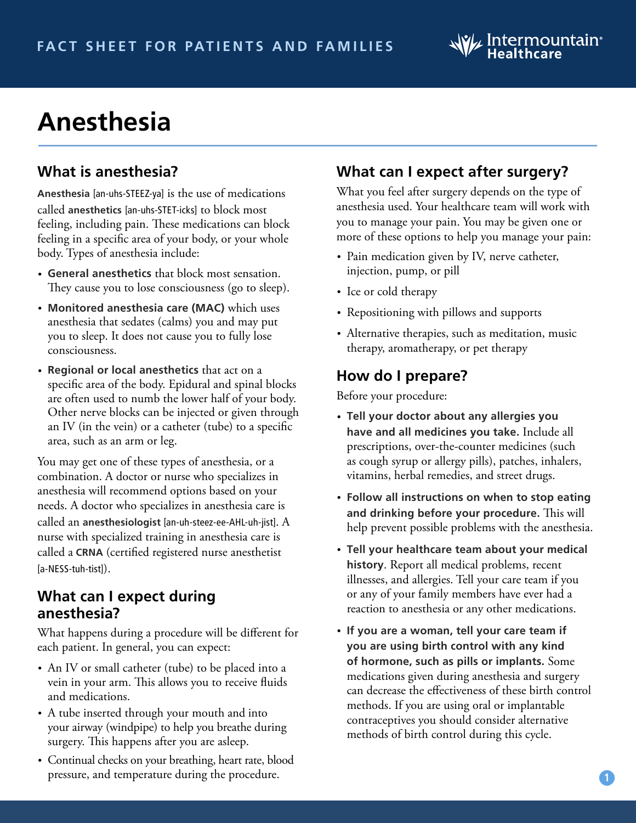# **Anesthesia**

# **What is anesthesia?**

**Anesthesia** [an-uhs-STEEZ-ya] is the use of medications called **anesthetics** [an-uhs-STET-icks] to block most feeling, including pain. These medications can block feeling in a specific area of your body, or your whole body. Types of anesthesia include:

- **General anesthetics** that block most sensation. They cause you to lose consciousness (go to sleep).
- **Monitored anesthesia care (MAC)** which uses anesthesia that sedates (calms) you and may put you to sleep. It does not cause you to fully lose consciousness.
- **Regional or local anesthetics** that act on a specific area of the body. Epidural and spinal blocks are often used to numb the lower half of your body. Other nerve blocks can be injected or given through an IV (in the vein) or a catheter (tube) to a specific area, such as an arm or leg.

You may get one of these types of anesthesia, or a combination. A doctor or nurse who specializes in anesthesia will recommend options based on your needs. A doctor who specializes in anesthesia care is called an **anesthesiologist** [an-uh-steez-ee-AHL-uh-jist]. A nurse with specialized training in anesthesia care is called a **CRNA** (certified registered nurse anesthetist [a-NESS-tuh-tist]).

#### **What can I expect during anesthesia?**

What happens during a procedure will be different for each patient. In general, you can expect:

- An IV or small catheter (tube) to be placed into a vein in your arm. This allows you to receive fluids and medications.
- A tube inserted through your mouth and into your airway (windpipe) to help you breathe during surgery. This happens after you are asleep.
- Continual checks on your breathing, heart rate, blood pressure, and temperature during the procedure.

# **What can I expect after surgery?**

What you feel after surgery depends on the type of anesthesia used. Your healthcare team will work with you to manage your pain. You may be given one or more of these options to help you manage your pain:

- Pain medication given by IV, nerve catheter, injection, pump, or pill
- Ice or cold therapy
- Repositioning with pillows and supports
- Alternative therapies, such as meditation, music therapy, aromatherapy, or pet therapy

### **How do I prepare?**

Before your procedure:

- **Tell your doctor about any allergies you have and all medicines you take.** Include all prescriptions, over-the-counter medicines (such as cough syrup or allergy pills), patches, inhalers, vitamins, herbal remedies, and street drugs.
- **Follow all instructions on when to stop eating and drinking before your procedure.** This will help prevent possible problems with the anesthesia.
- **Tell your healthcare team about your medical history**. Report all medical problems, recent illnesses, and allergies. Tell your care team if you or any of your family members have ever had a reaction to anesthesia or any other medications.
- **If you are a woman, tell your care team if you are using birth control with any kind of hormone, such as pills or implants.** Some medications given during anesthesia and surgery can decrease the effectiveness of these birth control methods. If you are using oral or implantable contraceptives you should consider alternative methods of birth control during this cycle.